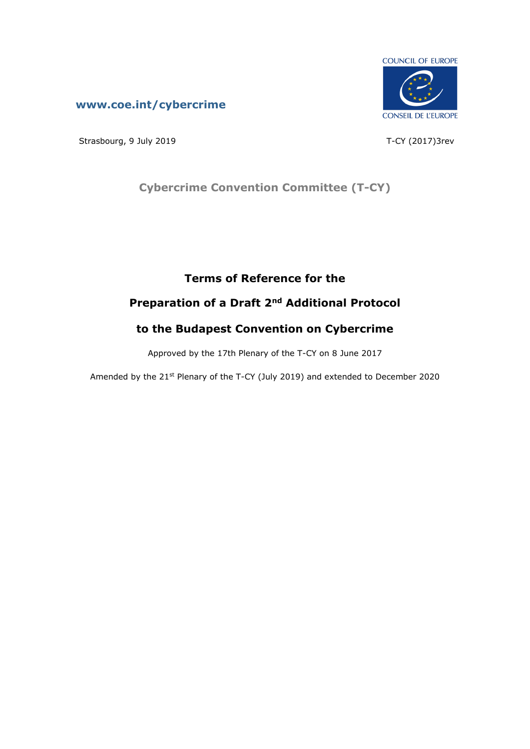## **[www.coe.int/cybercrime](http://www.coe.int/TCY)**



Strasbourg, 9 July 2019 **T-CY** (2017)3rev

# **Cybercrime Convention Committee (T-CY)**

# **Terms of Reference for the**

# **Preparation of a Draft 2nd Additional Protocol**

# **to the Budapest Convention on Cybercrime**

Approved by the 17th Plenary of the T-CY on 8 June 2017

Amended by the 21<sup>st</sup> Plenary of the T-CY (July 2019) and extended to December 2020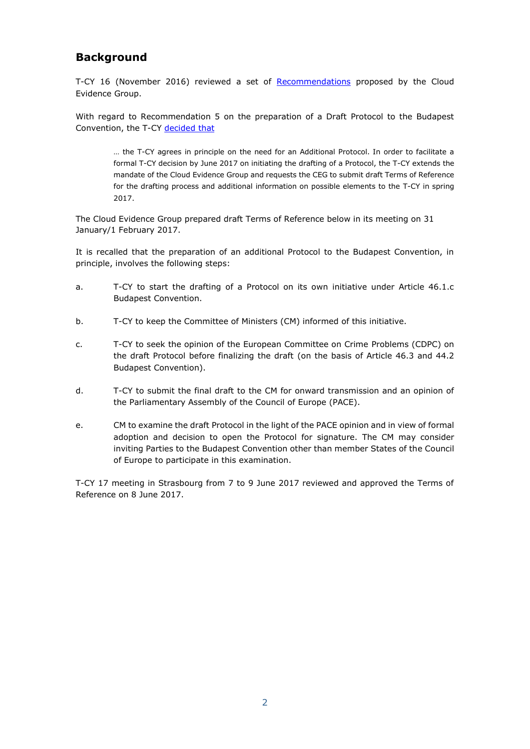## **Background**

T-CY 16 (November 2016) reviewed a set of [Recommendations](https://rm.coe.int/CoERMPublicCommonSearchServices/DisplayDCTMContent?documentId=09000016806a495e) proposed by the Cloud Evidence Group.

With regard to Recommendation 5 on the preparation of a Draft Protocol to the Budapest Convention, the T-CY [decided](https://rm.coe.int/CoERMPublicCommonSearchServices/DisplayDCTMContent?documentId=09000016806cd270) that

… the T-CY agrees in principle on the need for an Additional Protocol. In order to facilitate a formal T-CY decision by June 2017 on initiating the drafting of a Protocol, the T-CY extends the mandate of the Cloud Evidence Group and requests the CEG to submit draft Terms of Reference for the drafting process and additional information on possible elements to the T-CY in spring 2017.

The Cloud Evidence Group prepared draft Terms of Reference below in its meeting on 31 January/1 February 2017.

It is recalled that the preparation of an additional Protocol to the Budapest Convention, in principle, involves the following steps:

- a. T-CY to start the drafting of a Protocol on its own initiative under Article 46.1.c Budapest Convention.
- b. T-CY to keep the Committee of Ministers (CM) informed of this initiative.
- c. T-CY to seek the opinion of the European Committee on Crime Problems (CDPC) on the draft Protocol before finalizing the draft (on the basis of Article 46.3 and 44.2 Budapest Convention).
- d. T-CY to submit the final draft to the CM for onward transmission and an opinion of the Parliamentary Assembly of the Council of Europe (PACE).
- e. CM to examine the draft Protocol in the light of the PACE opinion and in view of formal adoption and decision to open the Protocol for signature. The CM may consider inviting Parties to the Budapest Convention other than member States of the Council of Europe to participate in this examination.

T-CY 17 meeting in Strasbourg from 7 to 9 June 2017 reviewed and approved the Terms of Reference on 8 June 2017.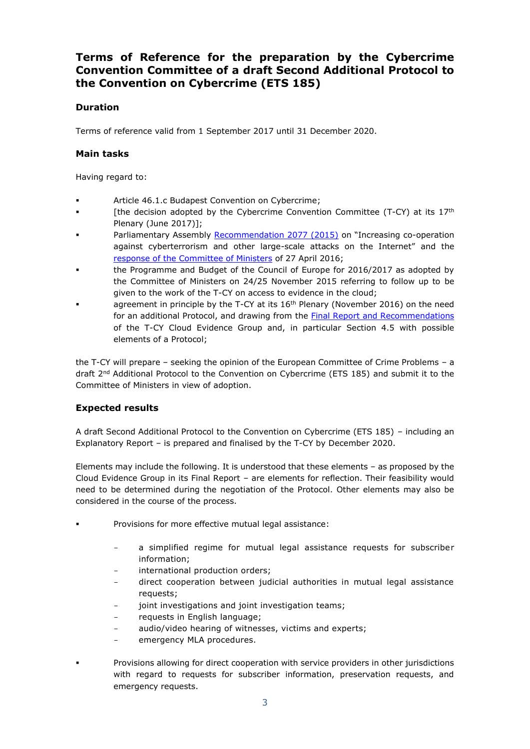## **Terms of Reference for the preparation by the Cybercrime Convention Committee of a draft Second Additional Protocol to the Convention on Cybercrime (ETS 185)**

### **Duration**

Terms of reference valid from 1 September 2017 until 31 December 2020.

#### **Main tasks**

Having regard to:

- Article 46.1.c Budapest Convention on Cybercrime;
- [the decision adopted by the Cybercrime Convention Committee (T-CY) at its  $17<sup>th</sup>$ Plenary (June 2017)];
- Parliamentary Assembly [Recommendation](http://semantic-pace.net/tools/pdf.aspx?doc=aHR0cDovL2Fzc2VtYmx5LmNvZS5pbnQvbncveG1sL1hSZWYvWDJILURXLWV4dHIuYXNwP2ZpbGVpZD0yMTk3NiZsYW5nPUVO&xsl=aHR0cDovL3NlbWFudGljcGFjZS5uZXQvWHNsdC9QZGYvWFJlZi1XRC1BVC1YTUwyUERGLnhzbA==&xsltparams=ZmlsZWlkPTIxOTc2) 2077 (2015) on "Increasing co-operation against cyberterrorism and other large-scale attacks on the Internet" and the [response of the Committee of Ministers](https://search.coe.int/cm/Pages/result_details.aspx?ObjectId=090000168064951d) of 27 April 2016;
- the Programme and Budget of the Council of Europe for 2016/2017 as adopted by the Committee of Ministers on 24/25 November 2015 referring to follow up to be given to the work of the T-CY on access to evidence in the cloud;
- agreement in principle by the T-CY at its  $16<sup>th</sup>$  Plenary (November 2016) on the need for an additional Protocol, and drawing from the **Final Report and Recommendations** of the T-CY Cloud Evidence Group and, in particular Section 4.5 with possible elements of a Protocol;

the T-CY will prepare – seeking the opinion of the European Committee of Crime Problems – a draft 2<sup>nd</sup> Additional Protocol to the Convention on Cybercrime (ETS 185) and submit it to the Committee of Ministers in view of adoption.

### **Expected results**

A draft Second Additional Protocol to the Convention on Cybercrime (ETS 185) – including an Explanatory Report – is prepared and finalised by the T-CY by December 2020.

Elements may include the following. It is understood that these elements – as proposed by the Cloud Evidence Group in its Final Report – are elements for reflection. Their feasibility would need to be determined during the negotiation of the Protocol. Other elements may also be considered in the course of the process.

- Provisions for more effective mutual legal assistance:
	- a simplified regime for mutual legal assistance requests for subscriber information;
	- international production orders;
	- direct cooperation between judicial authorities in mutual legal assistance requests;
	- joint investigations and joint investigation teams;
	- requests in English language;
	- audio/video hearing of witnesses, victims and experts;
	- emergency MLA procedures.
- Provisions allowing for direct cooperation with service providers in other jurisdictions with regard to requests for subscriber information, preservation requests, and emergency requests.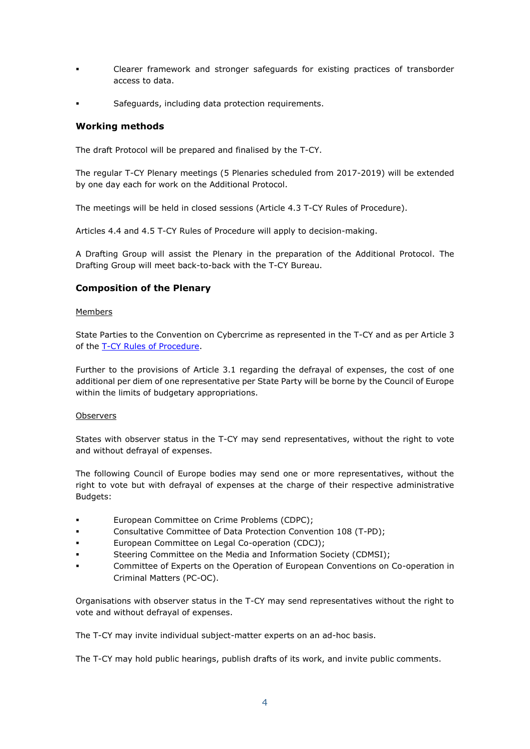- Clearer framework and stronger safeguards for existing practices of transborder access to data.
- Safeguards, including data protection requirements.

#### **Working methods**

The draft Protocol will be prepared and finalised by the T-CY.

The regular T-CY Plenary meetings (5 Plenaries scheduled from 2017-2019) will be extended by one day each for work on the Additional Protocol.

The meetings will be held in closed sessions (Article 4.3 T-CY Rules of Procedure).

Articles 4.4 and 4.5 T-CY Rules of Procedure will apply to decision-making.

A Drafting Group will assist the Plenary in the preparation of the Additional Protocol. The Drafting Group will meet back-to-back with the T-CY Bureau.

### **Composition of the Plenary**

#### Members

State Parties to the Convention on Cybercrime as represented in the T-CY and as per Article 3 of the [T-CY Rules of Procedure.](https://rm.coe.int/CoERMPublicCommonSearchServices/DisplayDCTMContent?documentId=09000016802e7278)

Further to the provisions of Article 3.1 regarding the defrayal of expenses, the cost of one additional per diem of one representative per State Party will be borne by the Council of Europe within the limits of budgetary appropriations.

#### **Observers**

States with observer status in the T-CY may send representatives, without the right to vote and without defrayal of expenses.

The following Council of Europe bodies may send one or more representatives, without the right to vote but with defrayal of expenses at the charge of their respective administrative Budgets:

- European Committee on Crime Problems (CDPC);
- Consultative Committee of Data Protection Convention 108 (T-PD);
- European Committee on Legal Co-operation (CDCJ);
- Steering Committee on the Media and Information Society (CDMSI);
- Committee of Experts on the Operation of European Conventions on Co-operation in Criminal Matters (PC-OC).

Organisations with observer status in the T-CY may send representatives without the right to vote and without defrayal of expenses.

The T-CY may invite individual subject-matter experts on an ad-hoc basis.

The T-CY may hold public hearings, publish drafts of its work, and invite public comments.